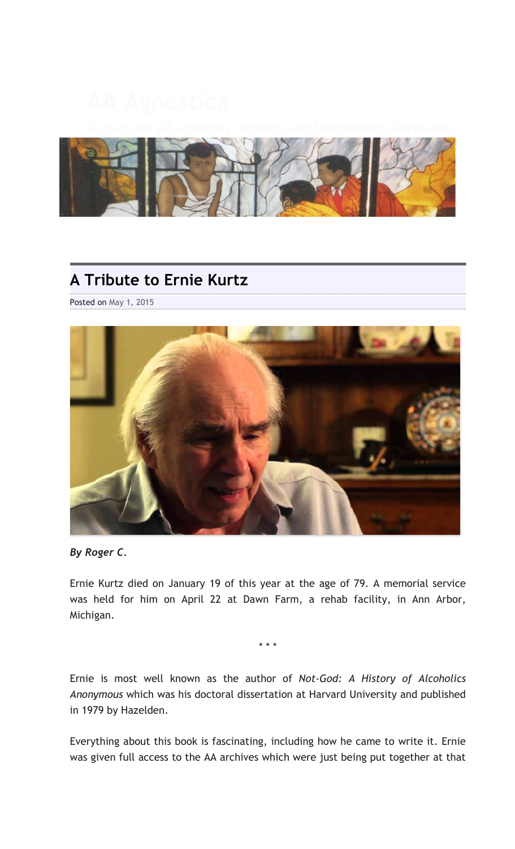

## **A Tribute to Ernie Kurtz**

Posted on May 1, 2015



*By Roger C.*

Ernie Kurtz died on January 19 of this year at the age of 79. A memorial service was held for him on April 22 at Dawn Farm, a rehab facility, in Ann Arbor, Michigan.

\* \* \*

Ernie is most well known as the author of *Not-God: A History of Alcoholics Anonymous* which was his doctoral dissertation at Harvard University and published in 1979 by Hazelden.

Everything about this book is fascinating, including how he came to write it. Ernie was given full access to the AA archives which were just being put together at that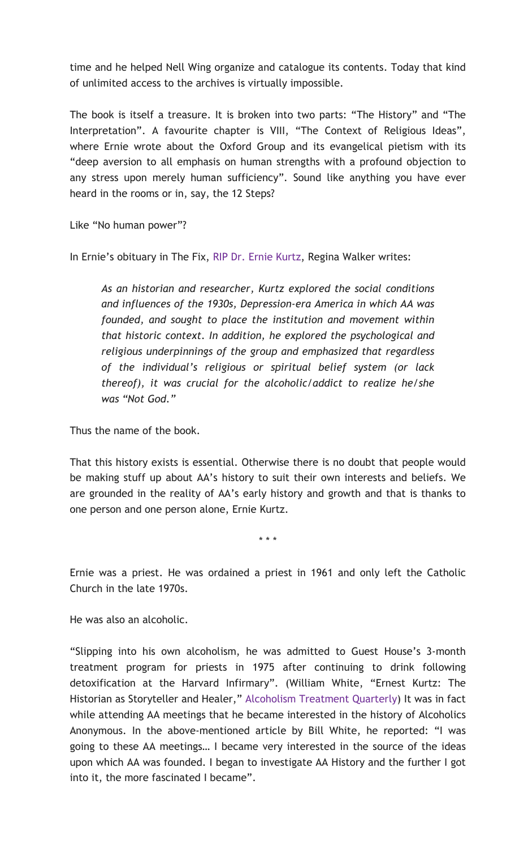time and he helped Nell Wing organize and catalogue its contents. Today that kind of unlimited access to the archives is virtually impossible.

The book is itself a treasure. It is broken into two parts: "The History" and "The Interpretation". A favourite chapter is VIII, "The Context of Religious Ideas", where Ernie wrote about the Oxford Group and its evangelical pietism with its "deep aversion to all emphasis on human strengths with a profound objection to any stress upon merely human sufficiency". Sound like anything you have ever heard in the rooms or in, say, the 12 Steps?

Like "No human power"?

In Ernie's obituary in The Fix, RIP Dr. Ernie Kurtz, Regina Walker writes:

*As an historian and researcher, Kurtz explored the social conditions and influences of the 1930s, Depression-era America in which AA was founded, and sought to place the institution and movement within that historic context. In addition, he explored the psychological and religious underpinnings of the group and emphasized that regardless of the individual's religious or spiritual belief system (or lack thereof), it was crucial for the alcoholic/addict to realize he/she was "Not God."*

Thus the name of the book.

That this history exists is essential. Otherwise there is no doubt that people would be making stuff up about AA's history to suit their own interests and beliefs. We are grounded in the reality of AA's early history and growth and that is thanks to one person and one person alone, Ernie Kurtz.

\* \* \*

Ernie was a priest. He was ordained a priest in 1961 and only left the Catholic Church in the late 1970s.

He was also an alcoholic.

"Slipping into his own alcoholism, he was admitted to Guest House's 3-month treatment program for priests in 1975 after continuing to drink following detoxification at the Harvard Infirmary". (William White, "Ernest Kurtz: The Historian as Storyteller and Healer," Alcoholism Treatment Quarterly) It was in fact while attending AA meetings that he became interested in the history of Alcoholics Anonymous. In the above-mentioned article by Bill White, he reported: "I was going to these AA meetings… I became very interested in the source of the ideas upon which AA was founded. I began to investigate AA History and the further I got into it, the more fascinated I became".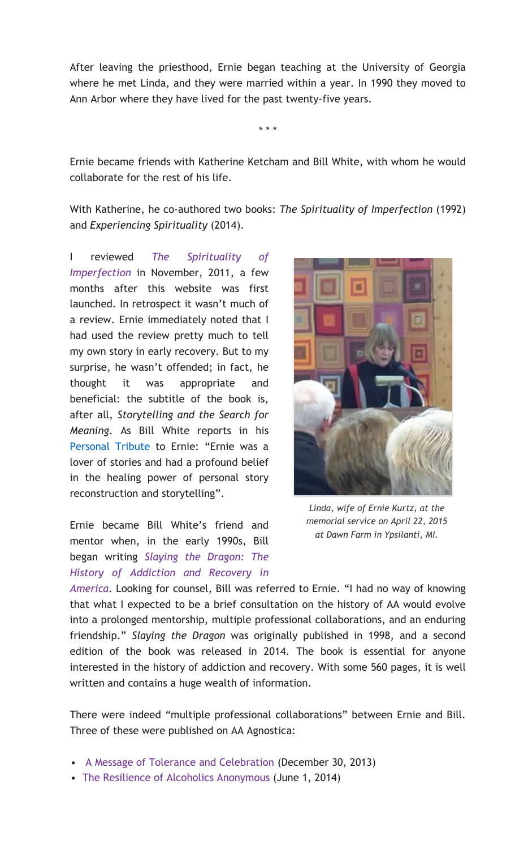After leaving the priesthood, Ernie began teaching at the University of Georgia where he met Linda, and they were married within a year. In 1990 they moved to Ann Arbor where they have lived for the past twenty-five years.

Ernie became friends with Katherine Ketcham and Bill White, with whom he would collaborate for the rest of his life.

\* \* \*

With Katherine, he co-authored two books: *The Spirituality of Imperfection* (1992) and *Experiencing Spirituality* (2014).

I reviewed *The Spirituality of Imperfection* in November, 2011, a few months after this website was first launched. In retrospect it wasn't much of a review. Ernie immediately noted that I had used the review pretty much to tell my own story in early recovery. But to my surprise, he wasn't offended; in fact, he thought it was appropriate and beneficial: the subtitle of the book is, after all, *Storytelling and the Search for Meaning*. As Bill White reports in his Personal Tribute to Ernie: "Ernie was a lover of stories and had a profound belief in the healing power of personal story reconstruction and storytelling".

Ernie became Bill White's friend and mentor when, in the early 1990s, Bill began writing *Slaying the Dragon: The History of Addiction and Recovery in* 



*Linda, wife of Ernie Kurtz, at the memorial service on April 22, 2015 at Dawn Farm in Ypsilanti, MI.*

*America*. Looking for counsel, Bill was referred to Ernie. "I had no way of knowing that what I expected to be a brief consultation on the history of AA would evolve into a prolonged mentorship, multiple professional collaborations, and an enduring friendship." *Slaying the Dragon* was originally published in 1998, and a second edition of the book was released in 2014. The book is essential for anyone interested in the history of addiction and recovery. With some 560 pages, it is well written and contains a huge wealth of information.

There were indeed "multiple professional collaborations" between Ernie and Bill. Three of these were published on AA Agnostica:

- A Message of Tolerance and Celebration (December 30, 2013)
- The Resilience of Alcoholics Anonymous (June 1, 2014)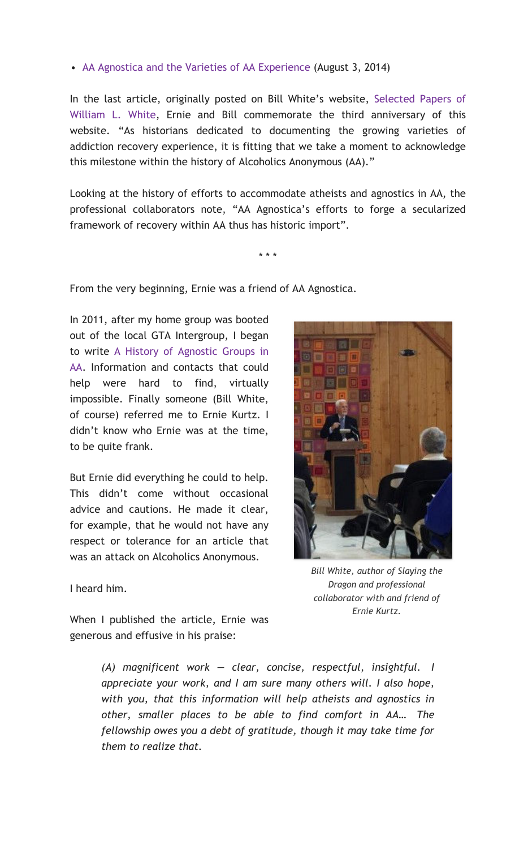## • AA Agnostica and the Varieties of AA Experience (August 3, 2014)

In the last article, originally posted on Bill White's website, Selected Papers of William L. White, Ernie and Bill commemorate the third anniversary of this website. "As historians dedicated to documenting the growing varieties of addiction recovery experience, it is fitting that we take a moment to acknowledge this milestone within the history of Alcoholics Anonymous (AA)."

Looking at the history of efforts to accommodate atheists and agnostics in AA, the professional collaborators note, "AA Agnostica's efforts to forge a secularized framework of recovery within AA thus has historic import".

\* \* \*

From the very beginning, Ernie was a friend of AA Agnostica.

In 2011, after my home group was booted out of the local GTA Intergroup, I began to write A History of Agnostic Groups in AA. Information and contacts that could help were hard to find, virtually impossible. Finally someone (Bill White, of course) referred me to Ernie Kurtz. I didn't know who Ernie was at the time, to be quite frank.

But Ernie did everything he could to help. This didn't come without occasional advice and cautions. He made it clear, for example, that he would not have any respect or tolerance for an article that was an attack on Alcoholics Anonymous.



I heard him.

*Bill White, author of Slaying the Dragon and professional collaborator with and friend of Ernie Kurtz.*

When I published the article, Ernie was generous and effusive in his praise:

> *(A) magnificent work — clear, concise, respectful, insightful. I appreciate your work, and I am sure many others will. I also hope, with you, that this information will help atheists and agnostics in other, smaller places to be able to find comfort in AA… The fellowship owes you a debt of gratitude, though it may take time for them to realize that.*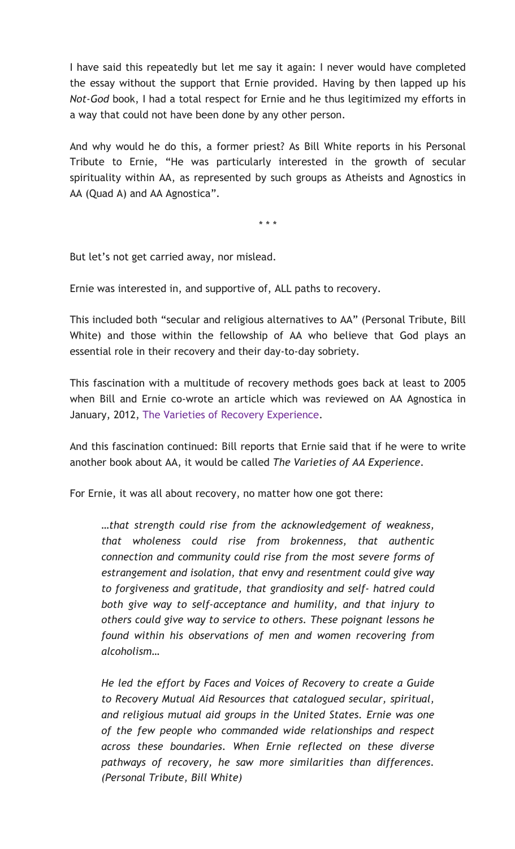I have said this repeatedly but let me say it again: I never would have completed the essay without the support that Ernie provided. Having by then lapped up his *Not-God* book, I had a total respect for Ernie and he thus legitimized my efforts in a way that could not have been done by any other person.

And why would he do this, a former priest? As Bill White reports in his Personal Tribute to Ernie, "He was particularly interested in the growth of secular spirituality within AA, as represented by such groups as Atheists and Agnostics in AA (Quad A) and AA Agnostica".

\* \* \*

But let's not get carried away, nor mislead.

Ernie was interested in, and supportive of, ALL paths to recovery.

This included both "secular and religious alternatives to AA" (Personal Tribute, Bill White) and those within the fellowship of AA who believe that God plays an essential role in their recovery and their day-to-day sobriety.

This fascination with a multitude of recovery methods goes back at least to 2005 when Bill and Ernie co-wrote an article which was reviewed on AA Agnostica in January, 2012, The Varieties of Recovery Experience.

And this fascination continued: Bill reports that Ernie said that if he were to write another book about AA, it would be called *The Varieties of AA Experience*.

For Ernie, it was all about recovery, no matter how one got there:

*…that strength could rise from the acknowledgement of weakness, that wholeness could rise from brokenness, that authentic connection and community could rise from the most severe forms of estrangement and isolation, that envy and resentment could give way to forgiveness and gratitude, that grandiosity and self- hatred could both give way to self-acceptance and humility, and that injury to others could give way to service to others. These poignant lessons he found within his observations of men and women recovering from alcoholism…*

*He led the effort by Faces and Voices of Recovery to create a Guide to Recovery Mutual Aid Resources that catalogued secular, spiritual, and religious mutual aid groups in the United States. Ernie was one of the few people who commanded wide relationships and respect across these boundaries. When Ernie reflected on these diverse pathways of recovery, he saw more similarities than differences. (Personal Tribute, Bill White)*